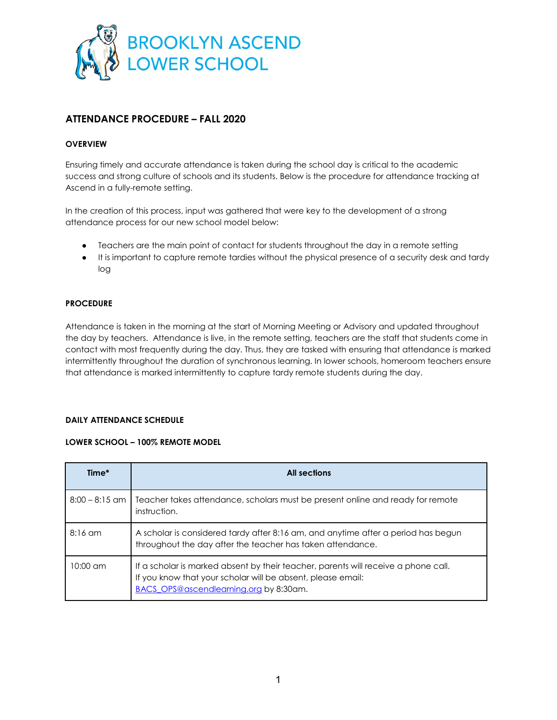

# **ATTENDANCE PROCEDURE – FALL 2020**

#### **OVERVIEW**

Ensuring timely and accurate attendance is taken during the school day is critical to the academic success and strong culture of schools and its students. Below is the procedure for attendance tracking at Ascend in a fully-remote setting.

In the creation of this process, input was gathered that were key to the development of a strong attendance process for our new school model below:

- Teachers are the main point of contact for students throughout the day in a remote setting
- It is important to capture remote tardies without the physical presence of a security desk and tardy log

## **PROCEDURE**

Attendance is taken in the morning at the start of Morning Meeting or Advisory and updated throughout the day by teachers. Attendance is live, in the remote setting, teachers are the staff that students come in contact with most frequently during the day. Thus, they are tasked with ensuring that attendance is marked intermittently throughout the duration of synchronous learning. In lower schools, homeroom teachers ensure that attendance is marked intermittently to capture tardy remote students during the day.

#### **DAILY ATTENDANCE SCHEDULE**

#### **LOWER SCHOOL – 100% REMOTE MODEL**

| Time*              | <b>All sections</b>                                                                                                                                                                         |
|--------------------|---------------------------------------------------------------------------------------------------------------------------------------------------------------------------------------------|
| $8:00 - 8:15$ am   | Teacher takes attendance, scholars must be present online and ready for remote<br>instruction.                                                                                              |
| $8:16$ am          | A scholar is considered tardy after 8:16 am, and anytime after a period has begun<br>throughout the day after the teacher has taken attendance.                                             |
| $10:00 \text{ cm}$ | If a scholar is marked absent by their teacher, parents will receive a phone call.<br>If you know that your scholar will be absent, please email:<br>BACS OPS@ascendlearning.org by 8:30am. |